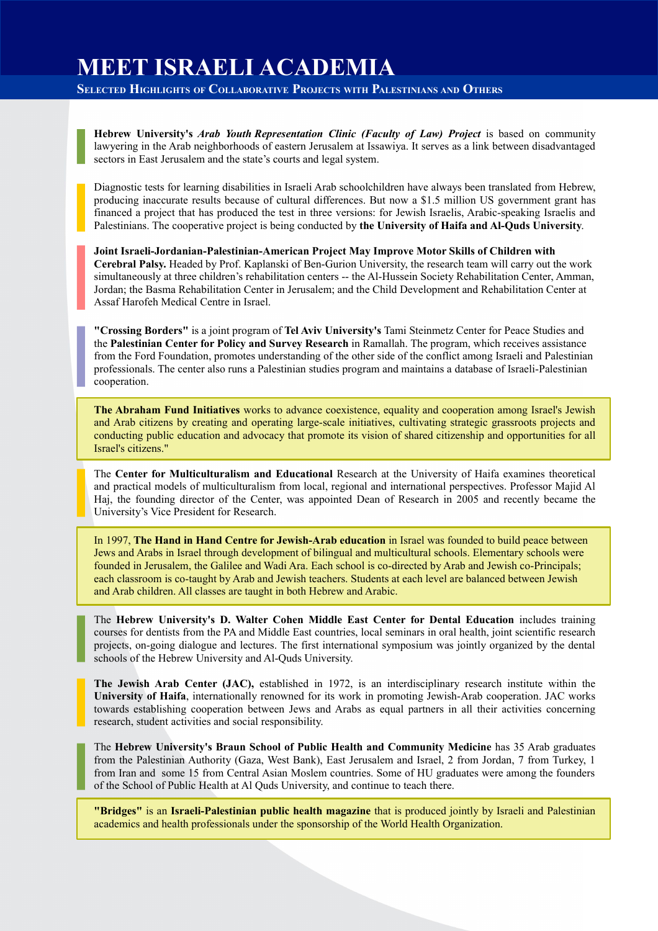## **MEET ISRAELI ACADEMIA**

**SELECTED HIGHLIGHTS OF COLLABORATIVE PROJECTS WITH PALESTINIANS AND OTHERS**

**Hebrew University's** *Arab Youth Representation Clinic (Faculty of Law) Project* is based on community lawyering in the Arab neighborhoods of eastern Jerusalem at Issawiya. It serves as a link between disadvantaged sectors in East Jerusalem and the state's courts and legal system.

Diagnostic tests for learning disabilities in Israeli Arab schoolchildren have always been translated from Hebrew, producing inaccurate results because of cultural differences. But now a \$1.5 million US government grant has financed a project that has produced the test in three versions: for Jewish Israelis, Arabic-speaking Israelis and Palestinians. The cooperative project is being conducted by **the University of Haifa and Al-Quds University**.

**Joint Israeli-Jordanian-Palestinian-American Project May Improve Motor Skills of Children with Cerebral Palsy.** Headed by Prof. Kaplanski of Ben-Gurion University, the research team will carry out the work simultaneously at three children's rehabilitation centers -- the Al-Hussein Society Rehabilitation Center, Amman, Jordan; the Basma Rehabilitation Center in Jerusalem; and the Child Development and Rehabilitation Center at Assaf Harofeh Medical Centre in Israel.

**"Crossing Borders"** is a joint program of **Tel Aviv University's** Tami Steinmetz Center for Peace Studies and the **Palestinian Center for Policy and Survey Research** in Ramallah. The program, which receives assistance from the Ford Foundation, promotes understanding of the other side of the conflict among Israeli and Palestinian professionals. The center also runs a Palestinian studies program and maintains a database of Israeli-Palestinian cooperation.

**The Abraham Fund Initiatives** works to advance coexistence, equality and cooperation among Israel's Jewish and Arab citizens by creating and operating large-scale initiatives, cultivating strategic grassroots projects and conducting public education and advocacy that promote its vision of shared citizenship and opportunities for all Israel's citizens."

The **Center for Multiculturalism and Educational** Research at the University of Haifa examines theoretical and practical models of multiculturalism from local, regional and international perspectives. Professor Majid Al Haj, the founding director of the Center, was appointed Dean of Research in 2005 and recently became the University's Vice President for Research.

In 1997, **The Hand in Hand Centre for Jewish-Arab education** in Israel was founded to build peace between Jews and Arabs in Israel through development of bilingual and multicultural schools. Elementary schools were founded in Jerusalem, the Galilee and Wadi Ara. Each school is co-directed by Arab and Jewish co-Principals; each classroom is co-taught by Arab and Jewish teachers. Students at each level are balanced between Jewish and Arab children. All classes are taught in both Hebrew and Arabic.

The **Hebrew University's D. Walter Cohen Middle East Center for Dental Education** includes training courses for dentists from the PA and Middle East countries, local seminars in oral health, joint scientific research projects, on-going dialogue and lectures. The first international symposium was jointly organized by the dental schools of the Hebrew University and Al-Quds University.

**The Jewish Arab Center (JAC),** established in 1972, is an interdisciplinary research institute within the **University of Haifa**, internationally renowned for its work in promoting Jewish-Arab cooperation. JAC works towards establishing cooperation between Jews and Arabs as equal partners in all their activities concerning research, student activities and social responsibility.

The **Hebrew University's Braun School of Public Health and Community Medicine** has 35 Arab graduates from the Palestinian Authority (Gaza, West Bank), East Jerusalem and Israel, 2 from Jordan, 7 from Turkey, 1 from Iran and some 15 from Central Asian Moslem countries. Some of HU graduates were among the founders of the School of Public Health at Al Quds University, and continue to teach there.

**"Bridges"** is an **Israeli-Palestinian public health magazine** that is produced jointly by Israeli and Palestinian academics and health professionals under the sponsorship of the World Health Organization.